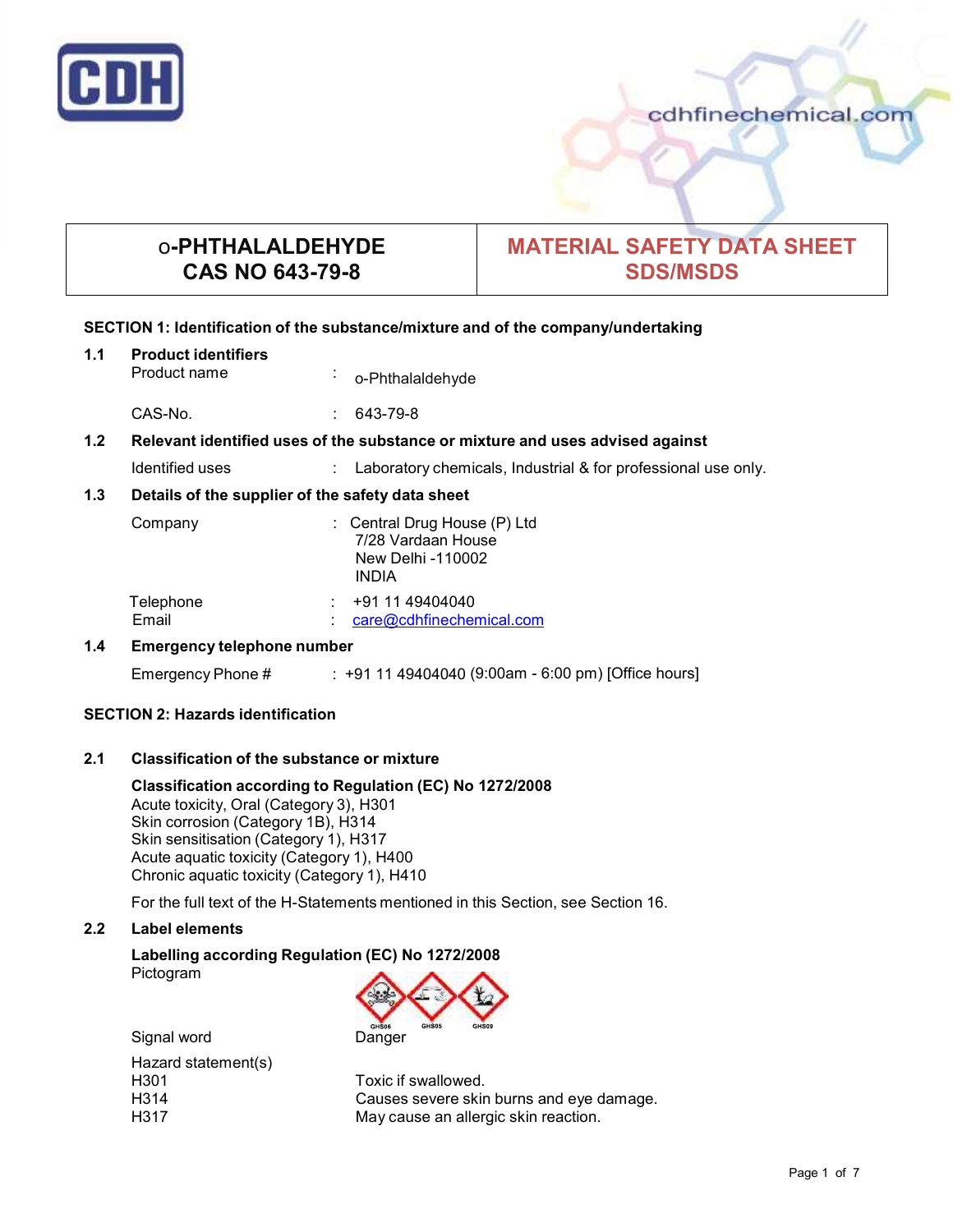

# o**-PHTHALALDEHYDE CAS NO 643-79-8**

# **MATERIAL SAFETY DATA SHEET SDS/MSDS**

# **SECTION 1: Identification of the substance/mixture and of the company/undertaking**

**1.1 Product identifiers** o-Phthalaldehyde

CAS-No. : 643-79-8

# **1.2 Relevant identified uses of the substance ormixture and uses advised against**

Identified uses : Laboratory chemicals, Industrial & for professional use only.

# **1.3 Details of the supplier of the safety data sheet**

| Company            | : Central Drug House $(P)$ Ltd<br>7/28 Vardaan House<br>New Delhi -110002<br><b>INDIA</b> |
|--------------------|-------------------------------------------------------------------------------------------|
| Telephone<br>Email | +91 11 49404040<br>care@cdhfinechemical.com                                               |

## **1.4 Emergency telephone number**

Emergency Phone # : +91 11 49404040 (9:00am - 6:00 pm) [Office hours]

## **SECTION 2: Hazards identification**

# **2.1 Classification of the substance ormixture**

**Classification according to Regulation (EC) No 1272/2008** Acute toxicity, Oral (Category 3), H301 Skin corrosion (Category 1B), H314 Skin sensitisation (Category 1), H317 Acute aquatic toxicity (Category 1), H400 Chronic aquatic toxicity (Category 1), H410

For the full text of the H-Statements mentioned in this Section, see Section 16.

## **2.2 Label elements**

**Labelling according Regulation (EC) No 1272/2008** Pictogram



Toxic if swallowed. Causes severe skin burns and eye damage. May cause an allergic skin reaction.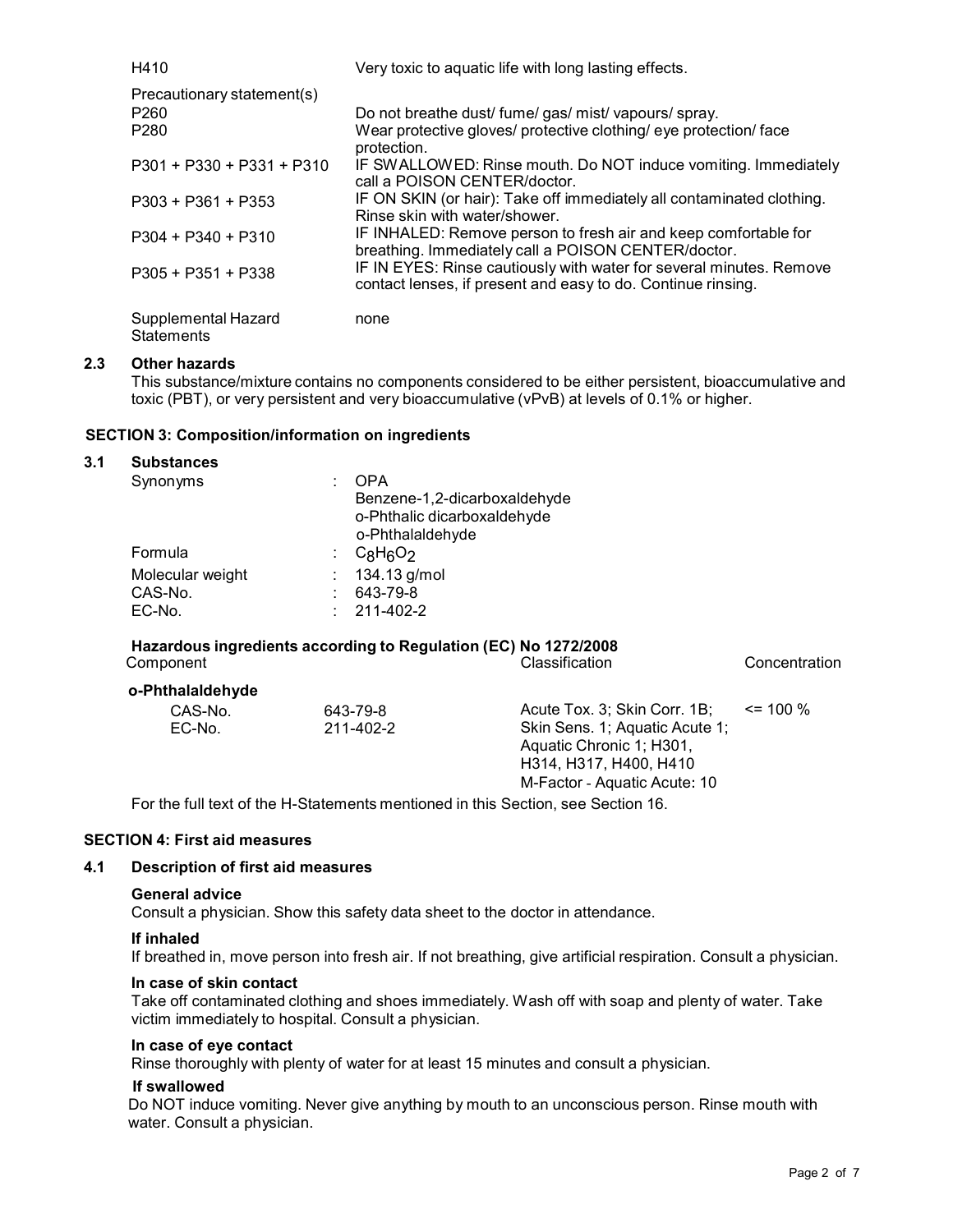| H410                                     | Very toxic to aquatic life with long lasting effects.                                                                               |
|------------------------------------------|-------------------------------------------------------------------------------------------------------------------------------------|
| Precautionary statement(s)               |                                                                                                                                     |
| P <sub>260</sub>                         | Do not breathe dust/ fume/ gas/ mist/ vapours/ spray.                                                                               |
| P <sub>280</sub>                         | Wear protective gloves/ protective clothing/ eye protection/ face<br>protection.                                                    |
| $P301 + P330 + P331 + P310$              | IF SWALLOWED: Rinse mouth. Do NOT induce vomiting. Immediately<br>call a POISON CENTER/doctor.                                      |
| $P303 + P361 + P353$                     | IF ON SKIN (or hair): Take off immediately all contaminated clothing.<br>Rinse skin with water/shower.                              |
| $P304 + P340 + P310$                     | IF INHALED: Remove person to fresh air and keep comfortable for<br>breathing. Immediately call a POISON CENTER/doctor.              |
| $P305 + P351 + P338$                     | IF IN EYES: Rinse cautiously with water for several minutes. Remove<br>contact lenses, if present and easy to do. Continue rinsing. |
| Supplemental Hazard<br><b>Statements</b> | none                                                                                                                                |

# **2.3 Other hazards**

This substance/mixture contains no components considered to be either persistent, bioaccumulative and toxic (PBT), or very persistent and very bioaccumulative (vPvB) at levels of 0.1% or higher.

## **SECTION 3: Composition/information on ingredients**

#### **3.1 Substances**

| Synonyms         | OPA                          |
|------------------|------------------------------|
|                  | Benzene-1,2-dicarboxaldehyde |
|                  | o-Phthalic dicarboxaldehyde  |
|                  | o-Phthalaldehyde             |
| Formula          | $C_8H_6O_2$                  |
| Molecular weight | 134.13 g/mol                 |
| CAS-No.          | 643-79-8                     |
| EC-No.           | 211-402-2                    |
|                  |                              |

# **Hazardous ingredients according to Regulation (EC) No 1272/2008** Component Classification Concentration

| o-Phthalaldehyde |           |                                                                                 |              |
|------------------|-----------|---------------------------------------------------------------------------------|--------------|
| CAS-No.          | 643-79-8  | Acute Tox. 3: Skin Corr. 1B:                                                    | $\leq$ 100 % |
| EC-No.           | 211-402-2 | Skin Sens. 1; Aquatic Acute 1;                                                  |              |
|                  |           | Aquatic Chronic 1; H301,                                                        |              |
|                  |           | H314, H317, H400, H410                                                          |              |
|                  |           | M-Factor - Aquatic Acute: 10                                                    |              |
|                  |           | Fartha full tout of the U. Clotomante mentioned in this Cootion, and Cootion 40 |              |

For the full text of the H-Statements mentioned in this Section, see Section 16.

# **SECTION 4: First aid measures**

#### **4.1 Description of first aid measures**

#### **General advice**

Consult a physician. Show this safety data sheet to the doctor in attendance.

#### **If inhaled**

If breathed in, move person into fresh air. If not breathing, give artificial respiration. Consult a physician.

#### **In case of skin contact**

Take off contaminated clothing and shoes immediately. Wash off with soap and plenty of water. Take victim immediately to hospital. Consult a physician.

#### **In case of eye contact**

Rinse thoroughly with plenty of water for at least 15 minutes and consult a physician.

#### **If swallowed**

Do NOT induce vomiting. Never give anything by mouth to an unconscious person. Rinse mouth with water. Consult a physician.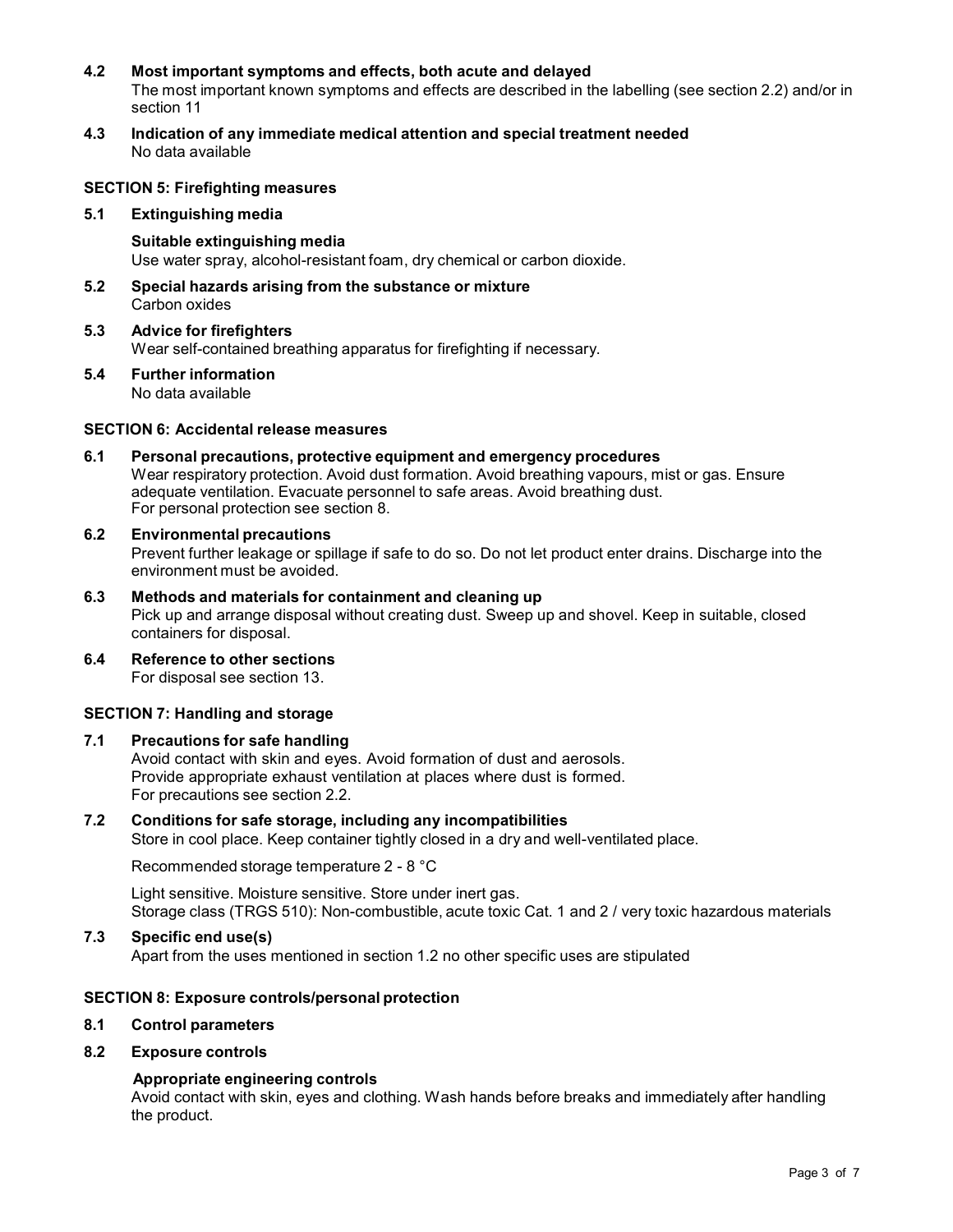## **4.2 Most important symptoms and effects, both acute and delayed**

The most important known symptoms and effects are described in the labelling (see section 2.2) and/or in section 11

**4.3 Indication of any immediate medical attention and special treatment needed** No data available

# **SECTION 5: Firefighting measures**

**5.1 Extinguishing media**

**Suitable extinguishing media** Use water spray, alcohol-resistant foam, dry chemical or carbon dioxide.

- **5.2 Special hazards arising from the substance ormixture** Carbon oxides
- **5.3 Advice for firefighters** Wear self-contained breathing apparatus for firefighting if necessary.
- **5.4 Further information** No data available

# **SECTION 6: Accidental release measures**

- **6.1 Personal precautions, protective equipment and emergency procedures** Wear respiratory protection. Avoid dust formation. Avoid breathing vapours, mist or gas. Ensure adequate ventilation. Evacuate personnel to safe areas. Avoid breathing dust. For personal protection see section 8.
- **6.2 Environmental precautions** Prevent further leakage or spillage if safe to do so. Do not let product enter drains. Discharge into the environment must be avoided.
- **6.3 Methods and materials for containment and cleaning up** Pick up and arrange disposal without creating dust. Sweep up and shovel. Keep in suitable, closed containers for disposal.
- **6.4 Reference to other sections** For disposal see section 13.

# **SECTION 7: Handling and storage**

## **7.1 Precautions for safe handling**

Avoid contact with skin and eyes. Avoid formation of dust and aerosols. Provide appropriate exhaust ventilation at places where dust is formed. For precautions see section 2.2.

## **7.2 Conditions for safe storage, including any incompatibilities**

Store in cool place. Keep container tightly closed in a dry and well-ventilated place.

Recommended storage temperature 2 - 8 °C

Light sensitive. Moisture sensitive. Store under inert gas. Storage class (TRGS 510): Non-combustible, acute toxic Cat. 1 and 2 / very toxic hazardous materials

# **7.3 Specific end use(s)**

Apart from the uses mentioned in section 1.2 no other specific uses are stipulated

## **SECTION 8: Exposure controls/personal protection**

**8.1 Control parameters**

#### **8.2 Exposure controls**

#### **Appropriate engineering controls**

Avoid contact with skin, eyes and clothing. Wash hands before breaks and immediately after handling the product.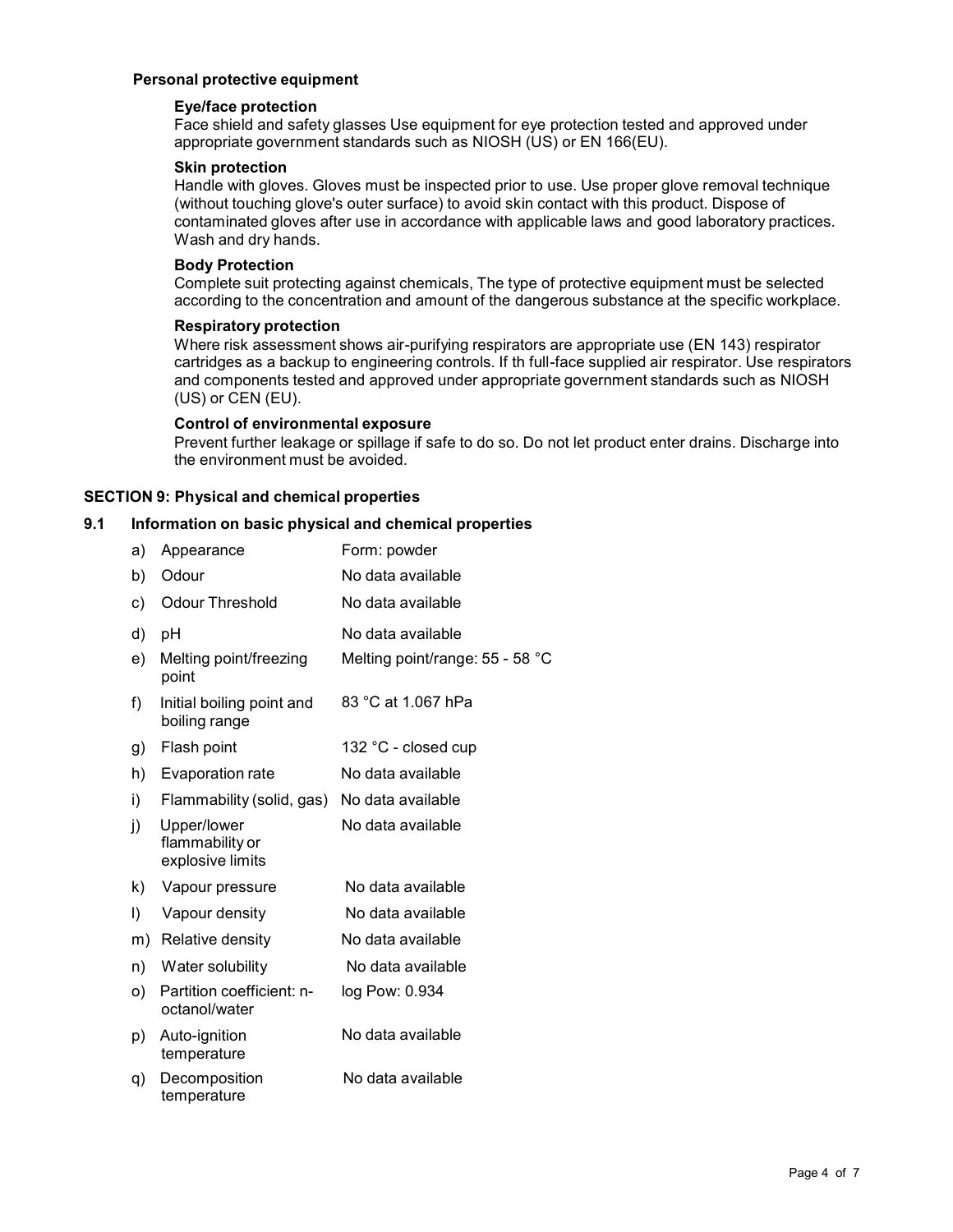#### **Personal protective equipment**

# **Eye/face protection**

Face shield and safety glasses Use equipment for eye protection tested and approved under appropriate government standards such as NIOSH (US) or EN 166(EU).

# **Skin protection**

Handle with gloves. Gloves must be inspected prior to use. Use proper glove removal technique (without touching glove's outer surface) to avoid skin contact with this product. Dispose of contaminated gloves after use in accordance with applicable laws and good laboratory practices. Wash and dry hands.

# **Body Protection**

Complete suit protecting against chemicals, The type of protective equipment must be selected according to the concentration and amount of the dangerous substance at the specific workplace.

#### **Respiratory protection**

Where risk assessment shows air-purifying respirators are appropriate use (EN 143) respirator cartridges as a backup to engineering controls. If th full-face supplied air respirator. Use respirators and components tested and approved under appropriate government standards such as NIOSH (US) or CEN (EU).

#### **Control of environmental exposure**

Prevent further leakage or spillage if safe to do so. Do not let product enter drains. Discharge into the environment must be avoided.

## **SECTION 9: Physical and chemical properties**

#### **9.1 Information on basic physical and chemical properties**

| a)           | Appearance                                         | Form: powder                    |
|--------------|----------------------------------------------------|---------------------------------|
| b)           | Odour                                              | No data available               |
| c)           | <b>Odour Threshold</b>                             | No data available               |
| d)           | рH                                                 | No data available               |
| e)           | Melting point/freezing<br>point                    | Melting point/range: 55 - 58 °C |
| f)           | Initial boiling point and<br>boiling range         | 83 °C at 1.067 hPa              |
| g)           | Flash point                                        | 132 °C - closed cup             |
| h)           | Evaporation rate                                   | No data available               |
| i)           | Flammability (solid, gas)                          | No data available               |
| j)           | Upper/lower<br>flammability or<br>explosive limits | No data available               |
| k)           | Vapour pressure                                    | No data available               |
| $\mathsf{I}$ | Vapour density                                     | No data available               |
| m)           | Relative density                                   | No data available               |
| n)           | Water solubility                                   | No data available               |
| O)           | Partition coefficient: n-<br>octanol/water         | log Pow: 0.934                  |
| p)           | Auto-ignition<br>temperature                       | No data available               |
| q)           | Decomposition<br>temperature                       | No data available               |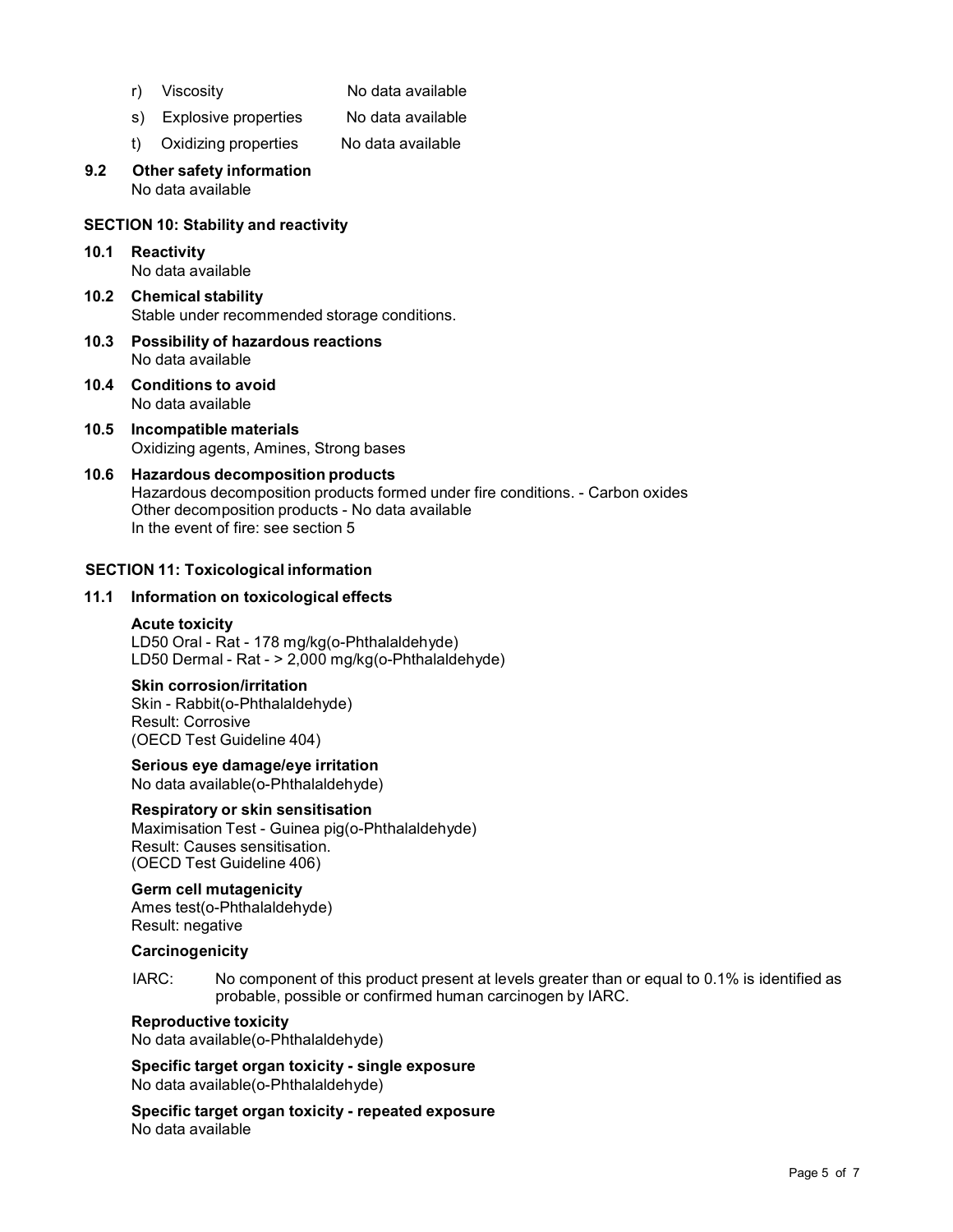- 
- r) Viscosity No data available
- s) Explosive properties No data available
- t) Oxidizing properties No data available
- **9.2 Other safety information** No data available

## **SECTION 10: Stability and reactivity**

- **10.1 Reactivity** No data available
- **10.2 Chemical stability** Stable under recommended storage conditions.
- **10.3 Possibility of hazardous reactions** No data available
- **10.4 Conditions to avoid** No data available
- **10.5 Incompatible materials** Oxidizing agents, Amines, Strong bases
- **10.6 Hazardous decomposition products** Hazardous decomposition products formed under fire conditions. - Carbon oxides Other decomposition products - No data available In the event of fire: see section 5

## **SECTION 11: Toxicological information**

#### **11.1 Information on toxicological effects**

#### **Acute toxicity**

LD50 Oral - Rat - 178 mg/kg(o-Phthalaldehyde) LD50 Dermal - Rat - > 2,000 mg/kg(o-Phthalaldehyde)

# **Skin corrosion/irritation**

Skin - Rabbit(o-Phthalaldehyde) Result: Corrosive (OECD Test Guideline 404)

**Serious eye damage/eye irritation** No data available(o-Phthalaldehyde)

# **Respiratory orskin sensitisation**

Maximisation Test - Guinea pig(o-Phthalaldehyde) Result: Causes sensitisation. (OECD Test Guideline 406)

# **Germ cell mutagenicity**

Ames test(o-Phthalaldehyde) Result: negative

#### **Carcinogenicity**

IARC: No component of this product present at levels greater than or equal to 0.1% is identified as probable, possible or confirmed human carcinogen by IARC.

## **Reproductive toxicity**

No data available(o-Phthalaldehyde)

**Specific target organ toxicity - single exposure** No data available(o-Phthalaldehyde)

**Specific target organ toxicity - repeated exposure** No data available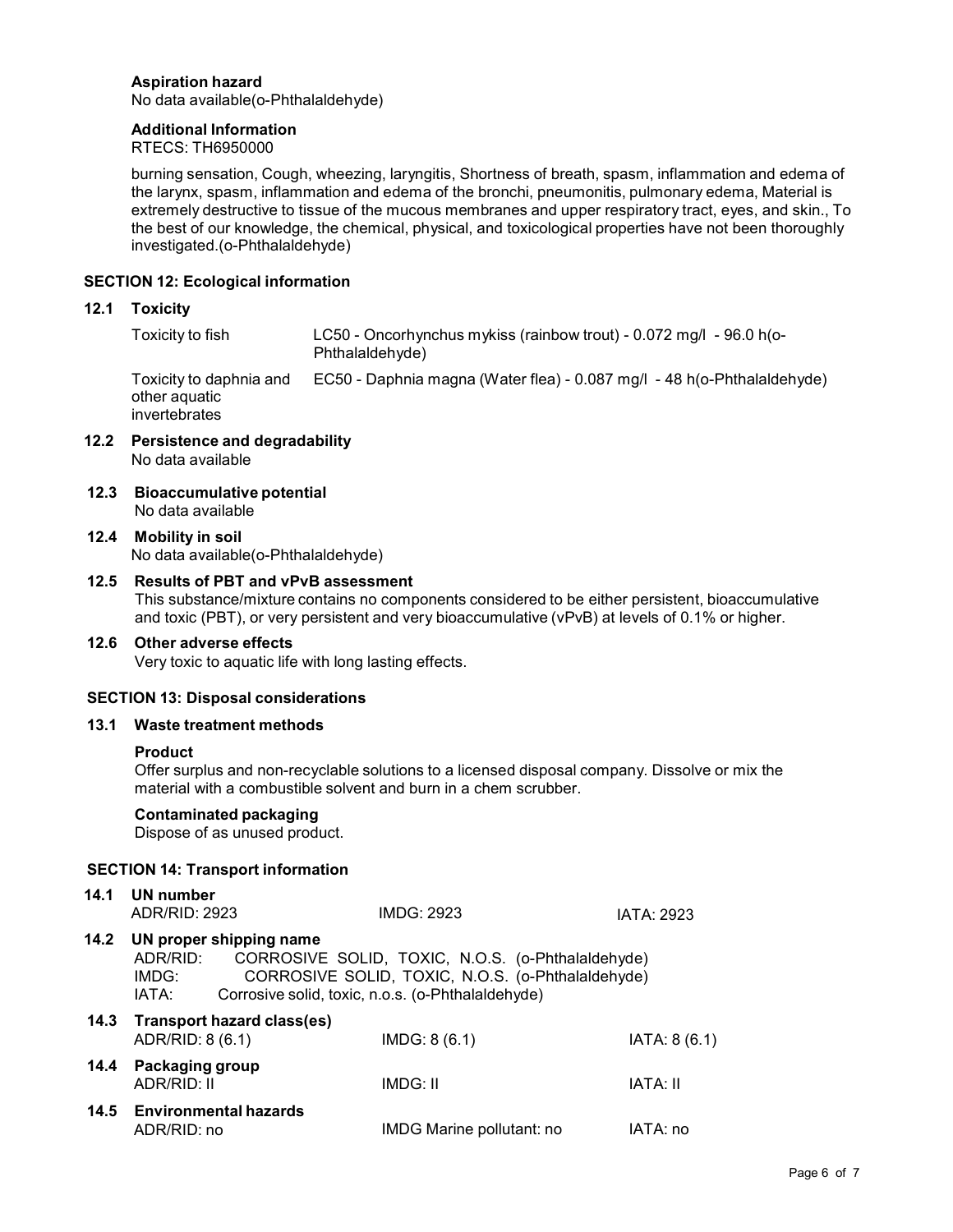# **Aspiration hazard**

No data available(o-Phthalaldehyde)

## **Additional Information**

RTECS: TH6950000

burning sensation, Cough, wheezing, laryngitis, Shortness of breath, spasm, inflammation and edema of the larynx, spasm, inflammation and edema of the bronchi, pneumonitis, pulmonary edema, Material is extremely destructive to tissue of the mucous membranes and upper respiratory tract, eyes, and skin., To the best of our knowledge, the chemical, physical, and toxicological properties have not been thoroughly investigated.(o-Phthalaldehyde)

# **SECTION 12: Ecological information**

#### **12.1 Toxicity**

Toxicity to fish LC50 - Oncorhynchus mykiss (rainbow trout) - 0.072 mg/l - 96.0 h(o- Phthalaldehyde)

Toxicity to daphnia and other aquatic invertebrates EC50 - Daphnia magna (Water flea) - 0.087 mg/l - 48 h(o-Phthalaldehyde)

- **12.2 Persistence and degradability** No data available
- **12.3 Bioaccumulative potential** No data available
- **12.4 Mobility in soil** No data available(o-Phthalaldehyde)

# **12.5 Results of PBT and vPvB assessment**

This substance/mixture contains no components considered to be either persistent, bioaccumulative and toxic (PBT), or very persistent and very bioaccumulative (vPvB) at levels of 0.1% or higher.

#### **12.6 Other adverse effects**

Very toxic to aquatic life with long lasting effects.

## **SECTION 13: Disposal considerations**

#### **13.1 Waste treatment methods**

#### **Product**

Offer surplus and non-recyclable solutions to a licensed disposal company. Dissolve or mix the material with a combustible solvent and burn in a chem scrubber.

## **Contaminated packaging**

Dispose of as unused product.

## **SECTION 14: Transport information**

| 14.1 | UN number<br>ADR/RID: 2923                                                                                                                                                                                           |                                 | IMDG: 2923                | <b>IATA: 2923</b> |
|------|----------------------------------------------------------------------------------------------------------------------------------------------------------------------------------------------------------------------|---------------------------------|---------------------------|-------------------|
| 14.2 | UN proper shipping name<br>CORROSIVE SOLID, TOXIC, N.O.S. (o-Phthalaldehyde)<br>ADR/RID:<br>CORROSIVE SOLID, TOXIC, N.O.S. (o-Phthalaldehyde)<br>IMDG:<br>Corrosive solid, toxic, n.o.s. (o-Phthalaldehyde)<br>IATA: |                                 |                           |                   |
|      | ADR/RID: 8 (6.1)                                                                                                                                                                                                     | 14.3 Transport hazard class(es) | IMDG: 8(6.1)              | IATA: 8 (6.1)     |
| 14.4 | Packaging group<br>ADR/RID: II                                                                                                                                                                                       |                                 | IMDG: II                  | IATA: II          |
| 14.5 | ADR/RID: no                                                                                                                                                                                                          | <b>Environmental hazards</b>    | IMDG Marine pollutant: no | IATA: no          |